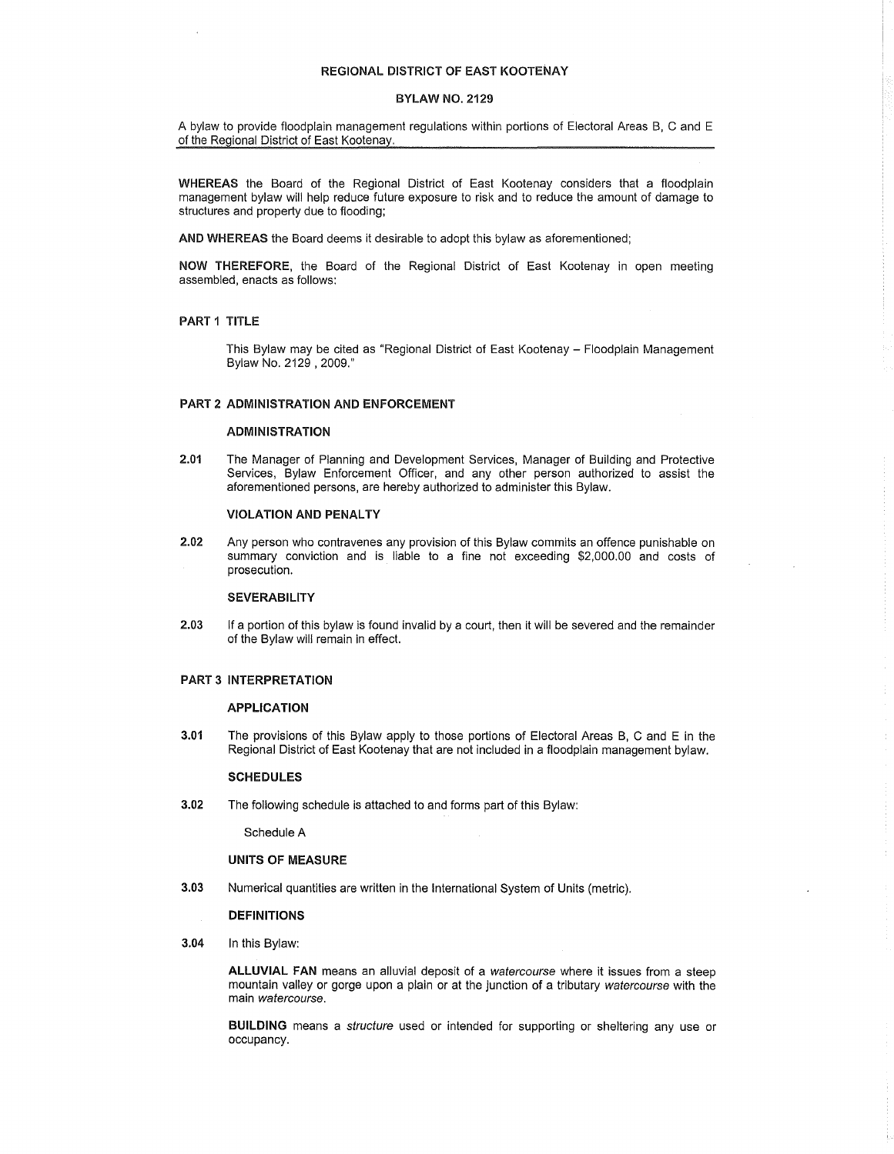## REGIONAL DISTRICT OF EAST KOOTENAY

### BYLAW NO. 2129

A bylaw to provide floodplain management regulations within portions of Electoral Areas B, C and E of the Regional District of East Kootenay.

WHEREAS the Board of the Regional District of East Kootenay considers that a floodplain management bylaw will help reduce future exposure to risk and to reduce the amount of damage to structures and property due to flooding;

AND WHEREAS the Board deems it desirable to adopt this bylaw as aforementioned;

NOW THEREFORE, the Board of the Regional District of East Kootenay in open meeting assembled, enacts as follows:

### PART 1 TITLE

This Bylaw may be cited as "Regional District of East Kootenay - Floodplain Management Bylaw No. 2129, 2009."

### PART 2 ADMINISTRATION AND ENFORCEMENT

### ADMINISTRATION

2.01 The Manager of Planning and Development Services, Manager of Building and Protective Services, Bylaw Enforcement Officer, and any other person authorized to assist the aforementioned persons, are hereby authorized to administer this Bylaw.

### VIOLATION AND PENALTY

2.02 Any person who contravenes any provision of this Bylaw commits an offence punishable on summary conviction and is liable to a fine not exceeding \$2,000.00 and costs of prosecution.

## **SEVERABILITY**

2.03 If a portion of this bylaw is found invalid by a court, then ii will be severed and the remainder of the Bylaw will remain in effect.

### PART 3 INTERPRETATION

#### APPLICATION

3.01 The provisions of this Bylaw apply to those portions of Electoral Areas B, C and E in the Regional District of East Kootenay that are not included in a floodplain management bylaw.

#### **SCHEDULES**

3.02 The following schedule is attached to and forms part of this Bylaw:

Schedule A

### UNITS OF MEASURE

3.03 Numerical quantities are written in the International System of Units (metric).

## DEFINITIONS

3.04 In this Bylaw:

**ALLUVIAL** FAN means an alluvial deposit of a watercourse where it issues from a steep mountain valley or gorge upon a plain or at the junction of a tributary watercourse with the main watercourse.

**BUILDING** means a structure used or intended for supporting or sheltering any use or occupancy.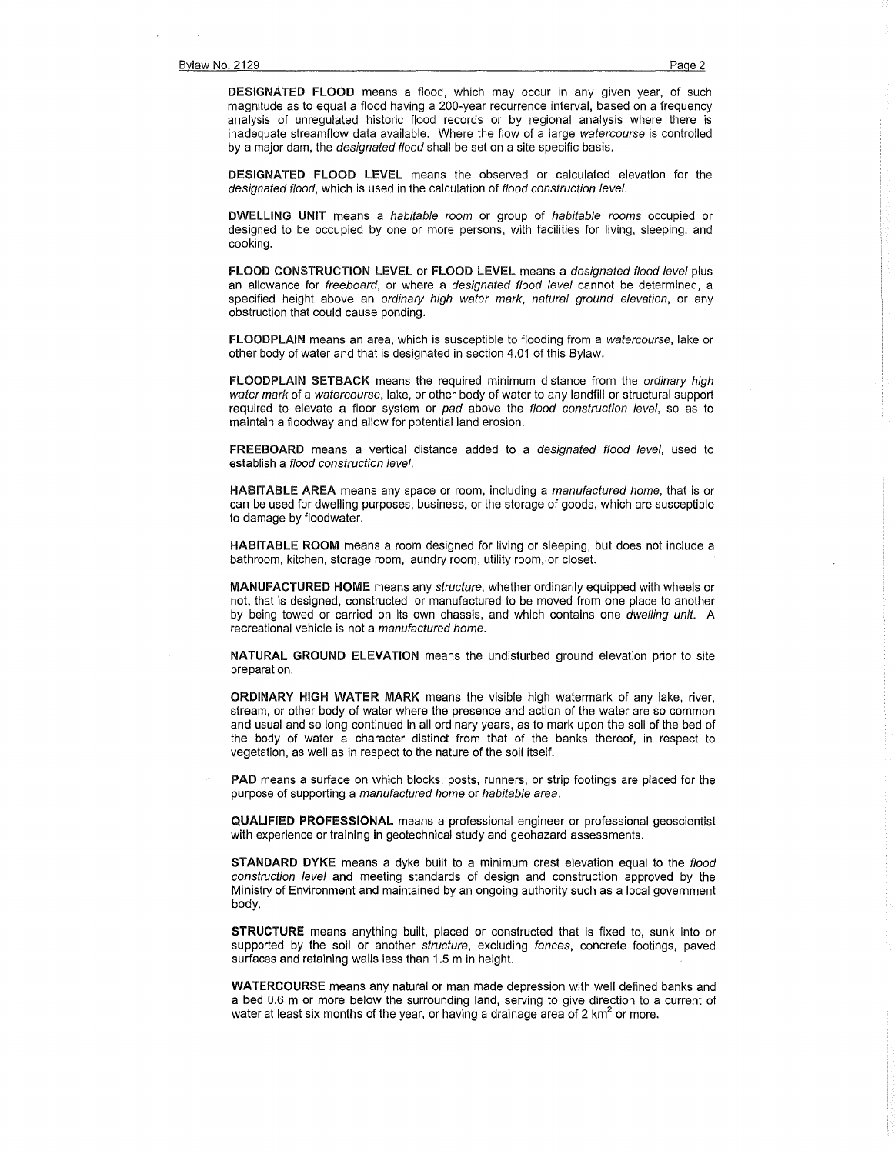DESIGNATED FLOOD means a flood, which may occur in any given year, of such magnitude as to equal a flood having a 200-year recurrence interval, based on a frequency analysis of unregulated historic flood records or by regional analysis where there is inadequate streamflow data available. Where the flow of a large watercourse is controlled by a major dam, the *designated flood* shall be set on a site specific basis.

DESIGNATED FLOOD LEVEL means the observed or calculated elevation for the designated flood, which is used in the calculation of flood construction level.

DWELLING UNIT means a habitable room or group of habitable rooms occupied or designed to be occupied by one or more persons, with facilities for living, sleeping, and cooking.

FLOOD CONSTRUCTION LEVEL or FLOOD LEVEL means a designated flood level plus an allowance for freeboard, or where a designated flood level cannot be determined, a specified height above an ordinary high water mark, natural ground elevation, or any obstruction that could cause ponding.

FLOODPLAIN means an area, which is susceptible to flooding from a watercourse, lake or other body of water and that is designated in section 4.01 of this Bylaw.

FLOODPLAIN SETBACK means the required minimum distance from the ordinary high water mark of a watercourse, lake, or other body of water to any landfill or structural support required to elevate a floor system or pad above the flood construction level, so as to maintain a floodway and allow for potential land erosion.

FREEBOARD means a vertical distance added to a designated flood level, used to establish a flood construction level.

HABITABLE AREA means any space or room, including a *manufactured home*, that is or can be used for dwelling purposes, business, or the storage of goods, which are susceptible to damage by floodwater.

HABITABLE ROOM means a room designed for living or sleeping, but does not include a bathroom, kitchen, storage room, laundry room, utility room, or closet.

MANUFACTURED HOME means any structure, whether ordinarily equipped with wheels or not, that is designed, constructed, or manufactured to be moved from one place to another by being towed or carried on its own chassis, and which contains one dwelling unit. A recreational vehicle is not a manufactured home.

NATURAL GROUND ELEVATION means the undisturbed ground elevation prior to site preparation.

ORDINARY HIGH WATER MARK means the visible high watermark of any lake, river, stream, or other body of water where the presence and action of the water are so common and usual and so long continued in all ordinary years, as to mark upon the soil of the bed of the body of water a character distinct from that of the banks thereof, in respect to vegetation, as well as in respect to the nature of the soil itself.

PAD means a surface on which blocks, posts, runners, or strip footings are placed for the purpose of supporting a manufactured home or habitable area.

QUALIFIED PROFESSIONAL means a professional engineer or professional geoscientist with experience or training in geotechnical study and geohazard assessments.

STANDARD DYKE means a dyke built to a minimum crest elevation equal to the flood construction level and meeting standards of design and construction approved by the Ministry of Environment and maintained by an ongoing authority such as a local government body.

STRUCTURE means anything built, placed or constructed that is fixed to, sunk into or supported by the soil or another structure, excluding fences, concrete footings, paved surfaces and retaining walls less than 1.5 m in height.

WATERCOURSE means any natural or man made depression with well defined banks and a bed 0.6 m or more below the surrounding land, serving to give direction to a current of water at least six months of the year, or having a drainage area of 2  $km<sup>2</sup>$  or more.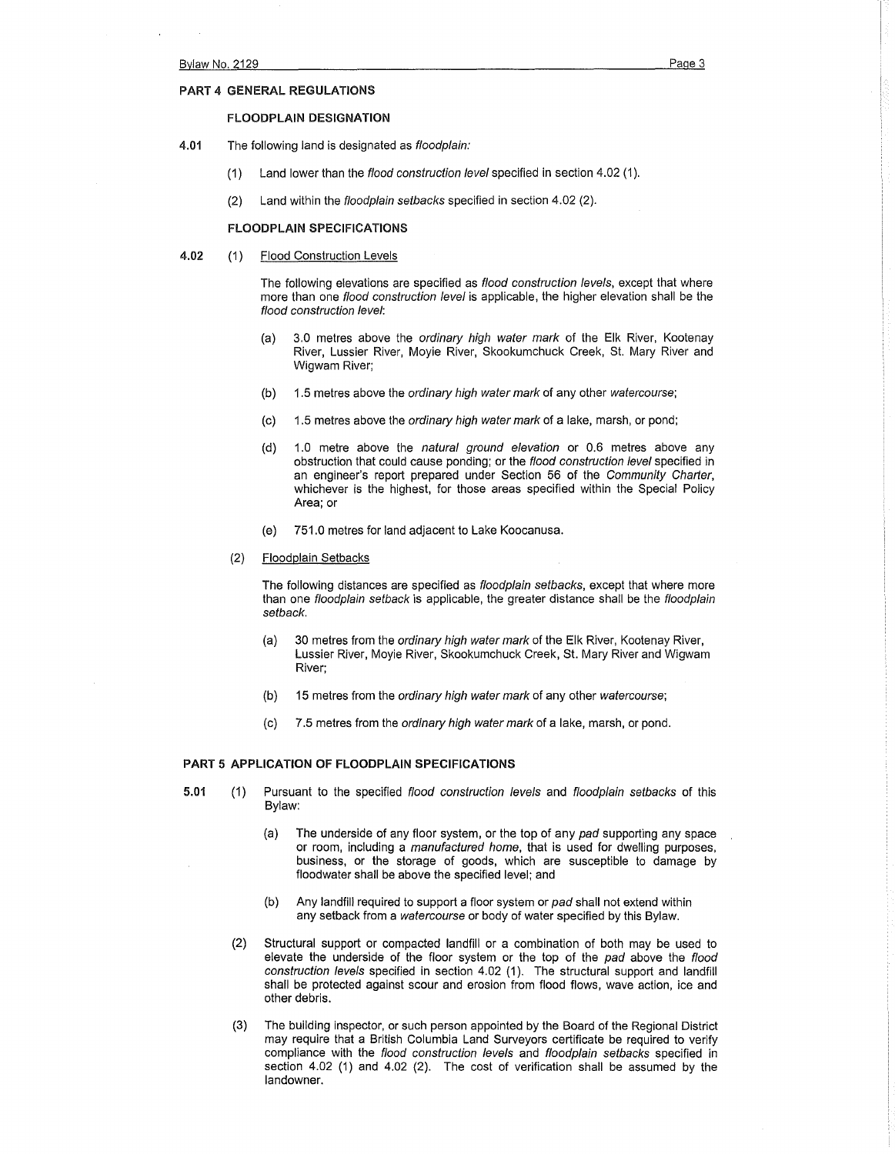#### PART 4 GENERAL REGULATIONS

#### FLOODPLAIN DESIGNATION

- 4.01 The following land is designated as floodplain:
	- (1) Land lower than the flood construction level specified in section 4.02 (1).
	- (2) Land within the floodplain setbacks specified in section 4.02 (2).

#### FLOODPLAIN SPECIFICATIONS

4.02 (1) Flood Construction Levels

The following elevations are specified as flood construction levels, except that where more than one *flood construction level* is applicable, the higher elevation shall be the flood construction level:

- (a) 3.0 metres above the ordinary high water mark of the Elk River, Kootenay River, Lussier River, Moyie River, Skookumchuck Creek, St. Mary River and Wigwam River;
- (b) 1.5 metres above the *ordinary high water mark* of any other watercourse;
- (c) 1.5 metres above the ordinary high water mark of a lake, marsh, or pond;
- (d) 1.0 metre above the natural ground elevation or 0.6 metres above any obstruction that could cause ponding; or the flood construction level specified in an engineer's report prepared under Section 56 of the Community Charter, whichever is the highest, for those areas specified within the Special Policy Area; or
- (e) 751.0 metres for land adjacent to Lake Koocanusa.
- (2) Floodplain Setbacks

The following distances are specified as *floodplain setbacks*, except that where more than one floodplain setback is applicable, the greater distance shall be the floodplain setback.

- (a) 30 metres from the ordinary high water mark of the Elk River, Kootenay River, Lussier River, Moyie River, Skookumchuck Creek, St. Mary River and Wigwam River;
- (b) 15 metres from the ordinary high water mark of any other watercourse;
- (c) 7.5 metres from the ordinary high water mark of a lake, marsh, or pond.

## PART 5 APPLICATION OF FLOODPLAIN SPECIFICATIONS

- 5.01 (1) Pursuant to the specified flood construction levels and floodplain setbacks of this Bylaw:
	- (a) The underside of any floor system, or the top of any pad supporting any space or room, including a manufactured home, that is used for dwelling purposes, business, or the storage of goods, which are susceptible to damage by floodwater shall be above the specified level; and
	- (b) Any landfill required to support a floor system or pad shall not extend within any setback from a watercourse or body of water specified by this Bylaw.
	- (2) Structural support or compacted landfill or a combination of both may be used to elevate the underside of the floor system or the top of the pad above the flood construction levels specified in section 4.02 (1). The structural support and landfill shall be protected against scour and erosion from flood flows, wave action, ice and other debris.
	- (3) The building inspector, or such person appointed by the Board of the Regional District may require that a British Columbia Land Surveyors certificate be required to verify compliance with the flood construction levels and floodplain setbacks specified in section 4.02 (1) and 4.02 (2). The cost of verification shall be assumed by the landowner.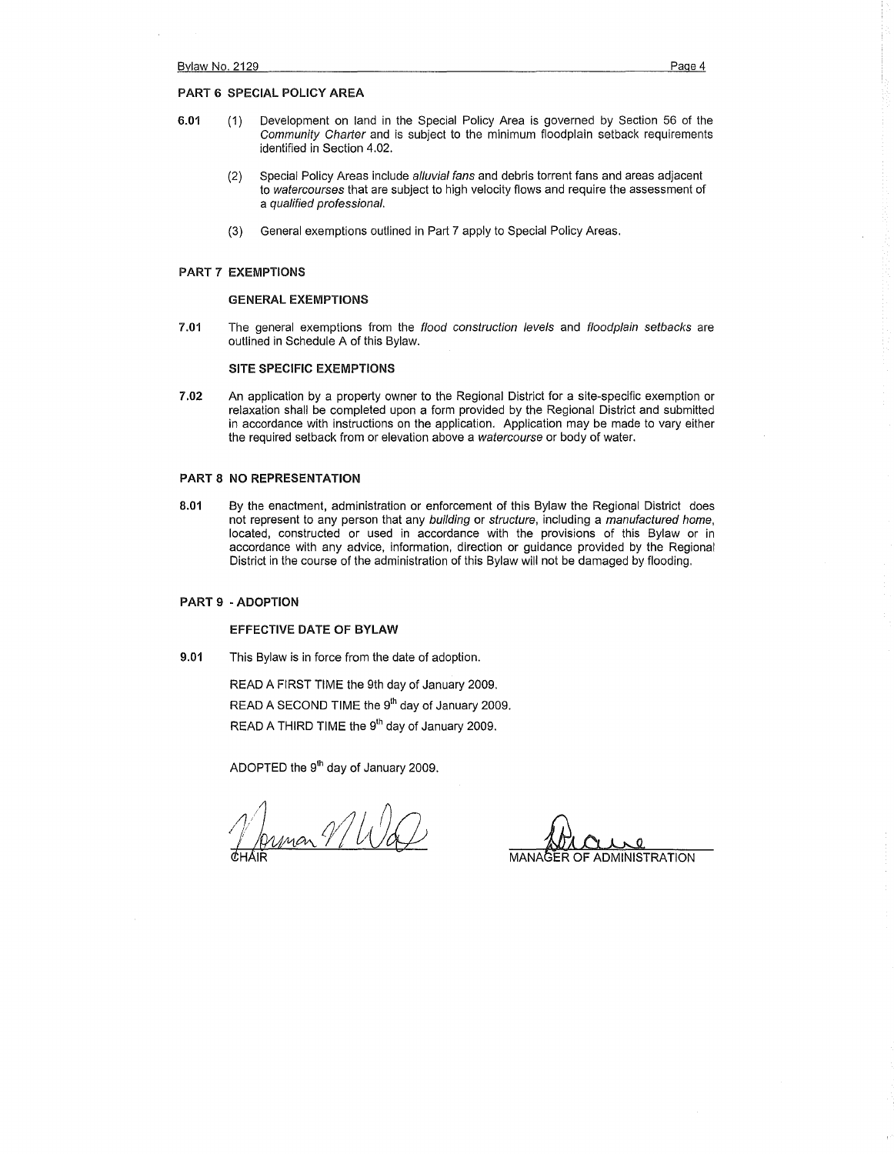## PART 6 SPECIAL POLICY AREA

- 6.01 (1) Development on land in the Special Policy Area is governed by Section 56 of the Community Charter and is subject to the minimum floodplain setback requirements identified in Section 4.02.
	- (2) Special Policy Areas include alluvial fans and debris torrent fans and areas adjacent to watercourses that are subject to high velocity flows and require the assessment of a qualified professional.
	- (3) General exemptions outlined in Part 7 apply to Special Policy Areas.

#### PART 7 EXEMPTIONS

#### GENERAL EXEMPTIONS

7.01 The general exemptions from the flood construction levels and floodplain setbacks are outlined in Schedule A of this Bylaw.

## SITE SPECIFIC EXEMPTIONS

7.02 An application by a property owner to the Regional District for a site-specific exemption or relaxation shall be completed upon a form provided by the Regional District and submitted in accordance with instructions on the application. Application may be made to vary either the required setback from or elevation above a watercourse or body of water.

## PART 8 NO REPRESENTATION

8.01 By the enactment, administration or enforcement of this Bylaw the Regional District does not represent to any person that any building or structure, including a manufactured home, located, constructed or used in accordance with the provisions of this Bylaw or in accordance with any advice, information, direction or guidance provided by the Regional District in the course of the administration of this Bylaw will not be damaged by flooding.

# PART 9 ·ADOPTION

## EFFECTIVE DATE OF BYLAW

9.01 This Bylaw is in force from the date of adoption.

READ A FIRST TIME the 9th day of January 2009. READ A SECOND TIME the 9<sup>th</sup> day of January 2009. READ A THIRD TIME the 9<sup>th</sup> day of January 2009.

ADOPTED the 9<sup>th</sup> day of January 2009.

nmar VIVI

**ADMINISTRATION**